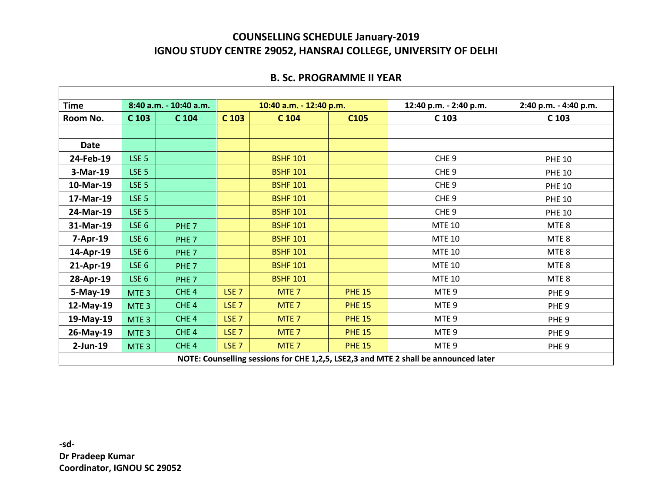#### **B. Sc. PROGRAMME II YEAR**

| <b>Time</b>                                                                         | 8:40 a.m. - 10:40 a.m. |                  | 10:40 a.m. - 12:40 p.m. |                  | 12:40 p.m. - 2:40 p.m. | 2:40 p.m. - 4:40 p.m. |                  |
|-------------------------------------------------------------------------------------|------------------------|------------------|-------------------------|------------------|------------------------|-----------------------|------------------|
| Room No.                                                                            | C 103                  | C <sub>104</sub> | C <sub>103</sub>        | C 104            | C <sub>105</sub>       | C <sub>103</sub>      | C <sub>103</sub> |
|                                                                                     |                        |                  |                         |                  |                        |                       |                  |
| <b>Date</b>                                                                         |                        |                  |                         |                  |                        |                       |                  |
| 24-Feb-19                                                                           | LSE <sub>5</sub>       |                  |                         | <b>BSHF 101</b>  |                        | CHE <sub>9</sub>      | <b>PHE 10</b>    |
| 3-Mar-19                                                                            | LSE <sub>5</sub>       |                  |                         | <b>BSHF 101</b>  |                        | CHE <sub>9</sub>      | <b>PHE 10</b>    |
| 10-Mar-19                                                                           | LSE <sub>5</sub>       |                  |                         | <b>BSHF 101</b>  |                        | CHE <sub>9</sub>      | <b>PHE 10</b>    |
| 17-Mar-19                                                                           | LSE <sub>5</sub>       |                  |                         | <b>BSHF 101</b>  |                        | CHE <sub>9</sub>      | <b>PHE 10</b>    |
| 24-Mar-19                                                                           | LSE <sub>5</sub>       |                  |                         | <b>BSHF 101</b>  |                        | CHE <sub>9</sub>      | <b>PHE 10</b>    |
| 31-Mar-19                                                                           | LSE <sub>6</sub>       | PHE <sub>7</sub> |                         | <b>BSHF 101</b>  |                        | <b>MTE 10</b>         | MTE <sub>8</sub> |
| 7-Apr-19                                                                            | LSE <sub>6</sub>       | PHE <sub>7</sub> |                         | <b>BSHF 101</b>  |                        | <b>MTE 10</b>         | MTE <sub>8</sub> |
| 14-Apr-19                                                                           | LSE <sub>6</sub>       | PHE <sub>7</sub> |                         | <b>BSHF 101</b>  |                        | <b>MTE 10</b>         | MTE <sub>8</sub> |
| 21-Apr-19                                                                           | LSE <sub>6</sub>       | PHE <sub>7</sub> |                         | <b>BSHF 101</b>  |                        | <b>MTE 10</b>         | MTE <sub>8</sub> |
| 28-Apr-19                                                                           | LSE <sub>6</sub>       | PHE <sub>7</sub> |                         | <b>BSHF 101</b>  |                        | <b>MTE 10</b>         | MTE <sub>8</sub> |
| 5-May-19                                                                            | MTE <sub>3</sub>       | CHE <sub>4</sub> | LSE <sub>7</sub>        | MTE <sub>7</sub> | <b>PHE 15</b>          | MTE <sub>9</sub>      | PHE <sub>9</sub> |
| 12-May-19                                                                           | MTE <sub>3</sub>       | CHE <sub>4</sub> | LSE <sub>7</sub>        | MTE <sub>7</sub> | <b>PHE 15</b>          | MTE <sub>9</sub>      | PHE <sub>9</sub> |
| 19-May-19                                                                           | MTE <sub>3</sub>       | CHE <sub>4</sub> | LSE <sub>7</sub>        | MTE <sub>7</sub> | <b>PHE 15</b>          | MTE <sub>9</sub>      | PHE <sub>9</sub> |
| 26-May-19                                                                           | MTE <sub>3</sub>       | CHE <sub>4</sub> | LSE <sub>7</sub>        | MTE <sub>7</sub> | <b>PHE 15</b>          | MTE <sub>9</sub>      | PHE <sub>9</sub> |
| $2$ -Jun-19                                                                         | MTE <sub>3</sub>       | CHE <sub>4</sub> | LSE <sub>7</sub>        | MTE <sub>7</sub> | <b>PHE 15</b>          | MTE <sub>9</sub>      | PHE <sub>9</sub> |
| NOTE: Counselling sessions for CHE 1,2,5, LSE2,3 and MTE 2 shall be announced later |                        |                  |                         |                  |                        |                       |                  |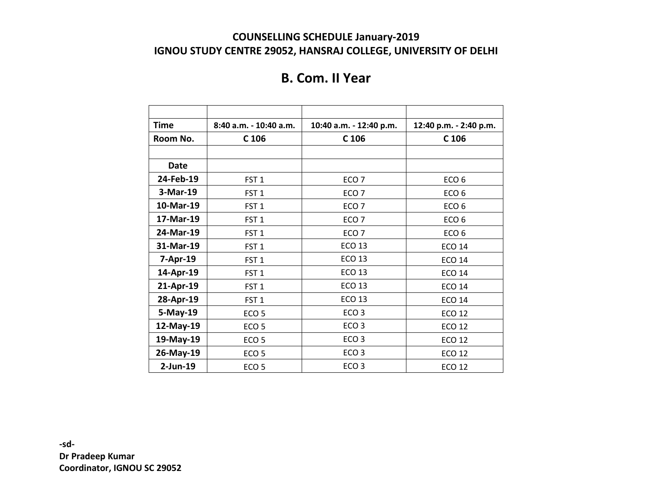# **B. Com. II Year**

| Time        | 8:40 a.m. - 10:40 a.m. | 10:40 a.m. - 12:40 p.m. | 12:40 p.m. - 2:40 p.m. |
|-------------|------------------------|-------------------------|------------------------|
| Room No.    | C <sub>106</sub>       | C <sub>106</sub>        | C <sub>106</sub>       |
|             |                        |                         |                        |
| <b>Date</b> |                        |                         |                        |
| 24-Feb-19   | FST <sub>1</sub>       | ECO <sub>7</sub>        | ECO <sub>6</sub>       |
| 3-Mar-19    | FST <sub>1</sub>       | ECO <sub>7</sub>        | ECO <sub>6</sub>       |
| 10-Mar-19   | FST <sub>1</sub>       | ECO <sub>7</sub>        | ECO <sub>6</sub>       |
| 17-Mar-19   | FST <sub>1</sub>       | ECO <sub>7</sub>        | ECO <sub>6</sub>       |
| 24-Mar-19   | FST <sub>1</sub>       | ECO <sub>7</sub>        | ECO <sub>6</sub>       |
| 31-Mar-19   | FST <sub>1</sub>       | <b>ECO 13</b>           | <b>ECO 14</b>          |
| 7-Apr-19    | FST <sub>1</sub>       | <b>ECO 13</b>           | <b>ECO 14</b>          |
| 14-Apr-19   | FST <sub>1</sub>       | <b>ECO 13</b>           | <b>ECO 14</b>          |
| 21-Apr-19   | FST <sub>1</sub>       | <b>ECO 13</b>           | <b>ECO 14</b>          |
| 28-Apr-19   | FST <sub>1</sub>       | <b>ECO 13</b>           | <b>ECO 14</b>          |
| 5-May-19    | ECO <sub>5</sub>       | ECO <sub>3</sub>        | <b>ECO 12</b>          |
| 12-May-19   | ECO <sub>5</sub>       | ECO <sub>3</sub>        | <b>ECO 12</b>          |
| 19-May-19   | ECO <sub>5</sub>       | ECO <sub>3</sub>        | <b>ECO 12</b>          |
| 26-May-19   | ECO <sub>5</sub>       | ECO <sub>3</sub>        | <b>ECO 12</b>          |
| $2$ -Jun-19 | ECO <sub>5</sub>       | ECO <sub>3</sub>        | <b>ECO 12</b>          |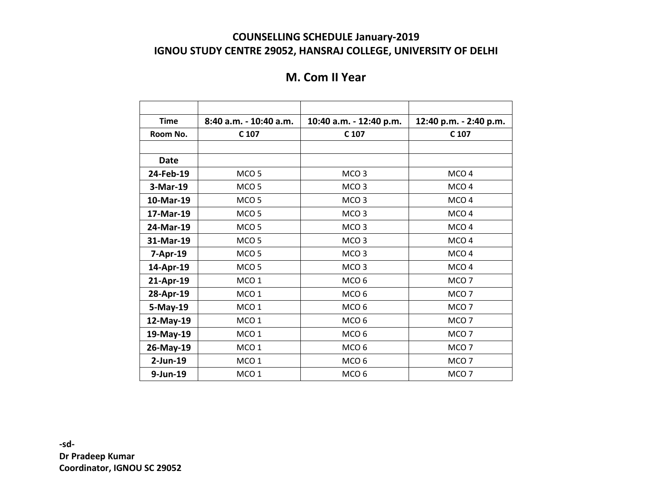# **M. Com II Year**

| <b>Time</b> | 8:40 a.m. - 10:40 a.m. | 10:40 a.m. - 12:40 p.m. | 12:40 p.m. - 2:40 p.m. |
|-------------|------------------------|-------------------------|------------------------|
| Room No.    | C 107                  | C 107                   | C 107                  |
|             |                        |                         |                        |
| <b>Date</b> |                        |                         |                        |
| 24-Feb-19   | MCO <sub>5</sub>       | MCO <sub>3</sub>        | MCO <sub>4</sub>       |
| 3-Mar-19    | MCO <sub>5</sub>       | MCO <sub>3</sub>        | MCO <sub>4</sub>       |
| 10-Mar-19   | MCO <sub>5</sub>       | MCO <sub>3</sub>        | MCO <sub>4</sub>       |
| 17-Mar-19   | MCO <sub>5</sub>       | MCO <sub>3</sub>        | MCO <sub>4</sub>       |
| 24-Mar-19   | MCO <sub>5</sub>       | MCO <sub>3</sub>        | MCO <sub>4</sub>       |
| 31-Mar-19   | MCO <sub>5</sub>       | MCO <sub>3</sub>        | MCO <sub>4</sub>       |
| 7-Apr-19    | MCO <sub>5</sub>       | MCO <sub>3</sub>        | MCO <sub>4</sub>       |
| 14-Apr-19   | MCO <sub>5</sub>       | MCO <sub>3</sub>        | MCO <sub>4</sub>       |
| 21-Apr-19   | MCO <sub>1</sub>       | MCO <sub>6</sub>        | MCO <sub>7</sub>       |
| 28-Apr-19   | MCO <sub>1</sub>       | MCO <sub>6</sub>        | MCO <sub>7</sub>       |
| 5-May-19    | MCO <sub>1</sub>       | MCO <sub>6</sub>        | MCO <sub>7</sub>       |
| 12-May-19   | MCO <sub>1</sub>       | MCO <sub>6</sub>        | MCO <sub>7</sub>       |
| 19-May-19   | MCO <sub>1</sub>       | MCO <sub>6</sub>        | MCO <sub>7</sub>       |
| 26-May-19   | MCO <sub>1</sub>       | MCO <sub>6</sub>        | MCO <sub>7</sub>       |
| $2$ -Jun-19 | MCO <sub>1</sub>       | MCO <sub>6</sub>        | MCO <sub>7</sub>       |
| 9-Jun-19    | MCO <sub>1</sub>       | MCO <sub>6</sub>        | MCO <sub>7</sub>       |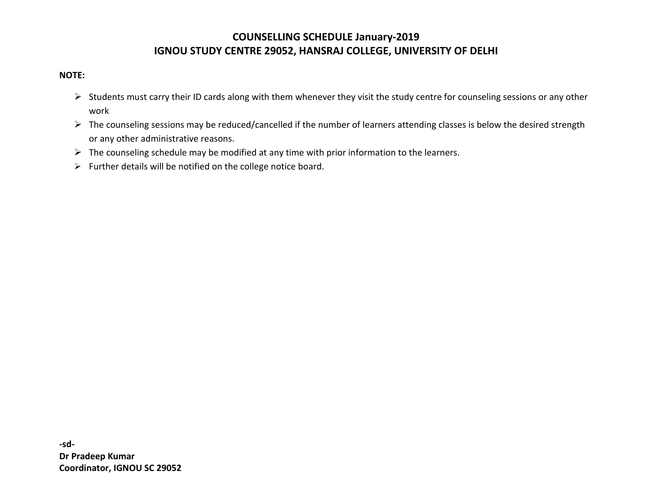#### **NOTE:**

- $\triangleright$  Students must carry their ID cards along with them whenever they visit the study centre for counseling sessions or any other work
- $\triangleright$  The counseling sessions may be reduced/cancelled if the number of learners attending classes is below the desired strength or any other administrative reasons.
- $\triangleright$  The counseling schedule may be modified at any time with prior information to the learners.
- $\triangleright$  Further details will be notified on the college notice board.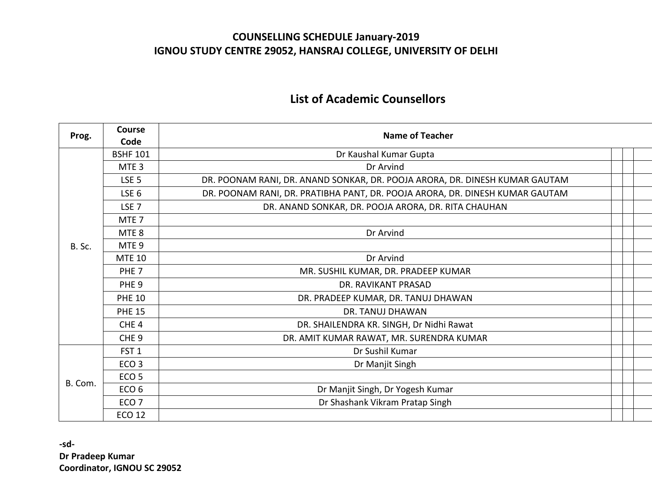# **List of Academic Counsellors**

| Prog.   | <b>Course</b>    | <b>Name of Teacher</b>                                                       |  |  |  |
|---------|------------------|------------------------------------------------------------------------------|--|--|--|
|         | Code             |                                                                              |  |  |  |
| B. Sc.  | <b>BSHF 101</b>  | Dr Kaushal Kumar Gupta                                                       |  |  |  |
|         | MTE <sub>3</sub> | Dr Arvind                                                                    |  |  |  |
|         | LSE <sub>5</sub> | DR. POONAM RANI, DR. ANAND SONKAR, DR. POOJA ARORA, DR. DINESH KUMAR GAUTAM  |  |  |  |
|         | LSE <sub>6</sub> | DR. POONAM RANI, DR. PRATIBHA PANT, DR. POOJA ARORA, DR. DINESH KUMAR GAUTAM |  |  |  |
|         | LSE <sub>7</sub> | DR. ANAND SONKAR, DR. POOJA ARORA, DR. RITA CHAUHAN                          |  |  |  |
|         | MTE <sub>7</sub> |                                                                              |  |  |  |
|         | MTE <sub>8</sub> | Dr Arvind                                                                    |  |  |  |
|         | MTE <sub>9</sub> |                                                                              |  |  |  |
|         | <b>MTE 10</b>    | Dr Arvind                                                                    |  |  |  |
|         | PHE <sub>7</sub> | MR. SUSHIL KUMAR, DR. PRADEEP KUMAR                                          |  |  |  |
|         | PHE <sub>9</sub> | DR. RAVIKANT PRASAD                                                          |  |  |  |
|         | <b>PHE 10</b>    | DR. PRADEEP KUMAR, DR. TANUJ DHAWAN                                          |  |  |  |
|         | <b>PHE 15</b>    | <b>DR. TANUJ DHAWAN</b>                                                      |  |  |  |
|         | CHE <sub>4</sub> | DR. SHAILENDRA KR. SINGH, Dr Nidhi Rawat                                     |  |  |  |
|         | CHE <sub>9</sub> | DR. AMIT KUMAR RAWAT, MR. SURENDRA KUMAR                                     |  |  |  |
|         | FST <sub>1</sub> | Dr Sushil Kumar                                                              |  |  |  |
|         | ECO <sub>3</sub> | Dr Manjit Singh                                                              |  |  |  |
|         | ECO <sub>5</sub> |                                                                              |  |  |  |
| B. Com. | ECO <sub>6</sub> | Dr Manjit Singh, Dr Yogesh Kumar                                             |  |  |  |
|         | ECO <sub>7</sub> | Dr Shashank Vikram Pratap Singh                                              |  |  |  |
|         | <b>ECO 12</b>    |                                                                              |  |  |  |